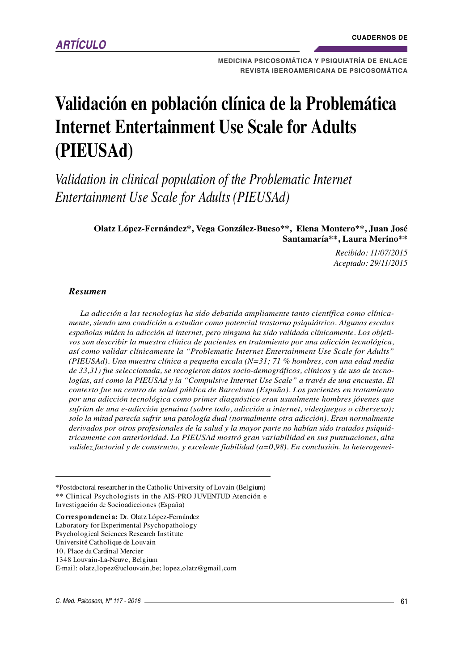**MEDICINA PSICOSOMÁTICA Y PSIQUIATRÍA DE ENLACE REVISTA IBEROAMERICANA DE PSICOSOMÁTICA**

# **Validación en población clínica de la Problemática Internet Entertainment Use Scale for Adults (PIEUSAd)**

*Validation in clinical population of the Problematic Internet Entertainment Use Scale for Adults (PIEUSAd)*

> **Olatz López-Fernández\*, Vega González-Bueso\*\*, Elena Montero\*\*, Juan José Santamaría\*\*, Laura Merino\*\***

> > *Recibido: 11/07/2015 Aceptado: 29/11/2015*

#### *Resumen*

*La adicción a las tecnologías ha sido debatida ampliamente tanto científica como clínicamente, siendo una condición a estudiar como potencial trastorno psiquiátrico. Algunas escalas españolas miden la adicción al internet, pero ninguna ha sido validada clínicamente. Los objetivos son describir la muestra clínica de pacientes en tratamiento por una adicción tecnológica, así como validar clínicamente la "Problematic Internet Entertainment Use Scale for Adults" (PIEUSAd). Una muestra clínica a pequeña escala (N=31; 71 % hombres, con una edad media de 33,31) fue seleccionada, se recogieron datos socio-demográficos, clínicos y de uso de tecnologías, así como la PIEUSAd y la "Compulsive Internet Use Scale" a través de una encuesta. El contexto fue un centro de salud pública de Barcelona (España). Los pacientes en tratamiento por una adicción tecnológica como primer diagnóstico eran usualmente hombres jóvenes que sufrían de una e-adicción genuina (sobre todo, adicción a internet, videojuegos o cibersexo); solo la mitad parecía sufrir una patología dual (normalmente otra adicción). Eran normalmente derivados por otros profesionales de la salud y la mayor parte no habían sido tratados psiquiátricamente con anterioridad. La PIEUSAd mostró gran variabilidad en sus puntuaciones, alta validez factorial y de constructo, y excelente fiabilidad (a=0,98). En conclusión, la heterogenei-*

\*Postdoctoral researcher in the Catholic University of Lovain (Belgium) \*\* Clinical Psychologists in the AIS-PRO JUVENTUD Atención e Investigación de Socioadicciones (España)

**Co rres po ndenci a:** Dr. Olatz López-Fernández

Laboratory for Experimental Psychopathology Psychological Sciences Research Institute

Université Catholique de Louvain

10, Place du Cardinal Mercier

1348 Louvain-La-Neuve, Belgium

E-mail: olatz,lopez@uclouvain,be; lopez,olatz@gmail,com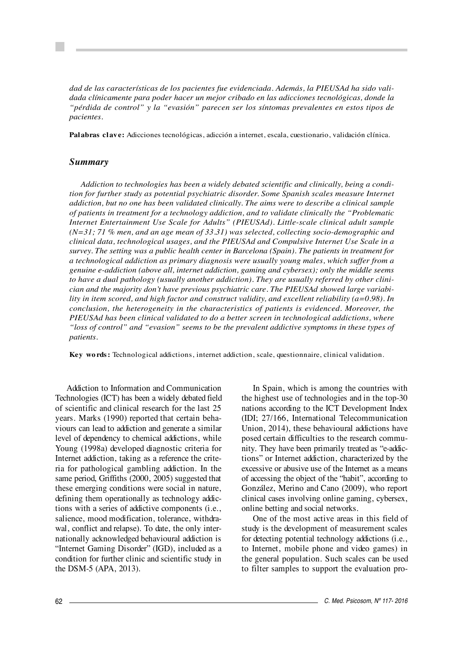*dad de las características de los pacientes fue evidenciada. Además, la PIEUSAd ha sido validada clínicamente para poder hacer un mejor cribado en las adicciones tecnológicas, donde la "pérdida de control" y la "evasión" parecen ser los síntomas prevalentes en estos tipos de pacientes.*

**Pal abras cl av e:** Adicciones tecnológicas, adicción a internet, escala, cuestionario, validación clínica.

## *Summary*

*Addiction to technologies has been a widely debated scientific and clinically, being a condition for further study as potential psychiatric disorder. Some Spanish scales measure Internet addiction, but no one has been validated clinically. The aims were to describe a clinical sample of patients in treatment for a technology addiction, and to validate clinically the "Problematic Internet Entertainment Use Scale for Adults" (PIEUSAd). Little-scale clinical adult sample (N=31; 71 % men, and an age mean of 33.31) was selected, collecting socio-demographic and clinical data, technological usages, and the PIEUSAd and Compulsive Internet Use Scale in a survey. The setting was a public health center in Barcelona (Spain). The patients in treatment for a technological addiction as primary diagnosis were usually young males, which suffer from a genuine e-addiction (above all, internet addiction, gaming and cybersex); only the middle seems to have a dual pathology (usually another addiction). They are usually referred by other clinician and the majority don't have previous psychiatric care. The PIEUSAd showed large variability in item scored, and high factor and construct validity, and excellent reliability (a=0.98). In conclusion, the heterogeneity in the characteristics of patients is evidenced. Moreover, the PIEUSAd has been clinical validated to do a better screen in technological addictions, where "loss of control" and "evasion" seems to be the prevalent addictive symptoms in these types of patients.*

**Key wo rds :** Technological addictions, internet addiction, scale, questionnaire, clinical validation.

Addiction to Information and Communication Technologies (ICT) has been a widely debated field of scientific and clinical research for the last 25 years. Marks (1990) reported that certain behaviours can lead to addiction and generate a similar level of dependency to chemical addictions, while Young (1998a) developed diagnostic criteria for Internet addiction, taking as a reference the criteria for pathological gambling addiction. In the same period, Griffiths (2000, 2005) suggested that these emerging conditions were social in nature, defining them operationally as technology addictions with a series of addictive components (i.e., salience, mood modification, tolerance, withdrawal, conflict and relapse). To date, the only internationally acknowledged behavioural addiction is "Internet Gaming Disorder" (IGD), included as a condition for further clinic and scientific study in the DSM-5 (APA, 2013).

In Spain, which is among the countries with the highest use of technologies and in the top-30 nations according to the ICT Development Index (IDI; 27/166, International Telecommunication Union, 2014), these behavioural addictions have posed certain difficulties to the research community. They have been primarily treated as "e-addictions" or Internet addiction, characterized by the excessive or abusive use of the Internet as a means of accessing the object of the "habit", according to González, Merino and Cano (2009), who report clinical cases involving online gaming, cybersex, online betting and social networks.

One of the most active areas in this field of study is the development of measurement scales for detecting potential technology addictions (i.e., to Internet, mobile phone and video games) in the general population. Such scales can be used to filter samples to support the evaluation pro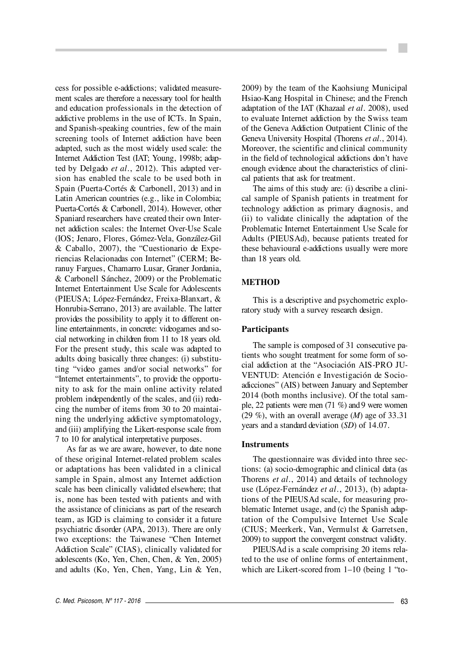cess for possible e-addictions; validated measurement scales are therefore a necessary tool for health and education professionals in the detection of addictive problems in the use of ICTs. In Spain, and Spanish-speaking countries, few of the main screening tools of Internet addiction have been adapted, such as the most widely used scale: the Internet Addiction Test (IAT; Young, 1998b; adapted by Delgado *et al*., 2012). This adapted version has enabled the scale to be used both in Spain (Puerta-Cortés & Carbonell, 2013) and in Latin American countries (e.g., like in Colombia; Puerta-Cortés & Carbonell, 2014). However, other Spaniard researchers have created their own Internet addiction scales: the Internet Over-Use Scale (IOS; Jenaro, Flores, Gómez-Vela, González-Gil  $& Caballo, 2007$ , the "Cuestionario de Experiencias Relacionadas con Internet" (CERM; Be ranuy Fargues, Chamarro Lusar, Graner Jordania, & Carbonell Sánchez, 2009) or the Problematic Internet Entertainment Use Scale for Adolescents (PIEUSA; López-Fernández, Freixa-Blanxart, & Honrubia-Serrano, 2013) are available. The latter provides the possibility to apply it to different on line entertainments, in concrete: videogames and social networking in children from 11 to 18 years old. For the present study, this scale was adapted to adults doing basically three changes: (i) substituting "video games and/or social networks" for "Internet entertainments", to provide the opportunity to ask for the main online activity related problem independently of the scales, and (ii) reducing the number of items from 30 to 20 maintaining the underlying addictive symptomatology, and (iii) amplifying the Likert-response scale from 7 to 10 for analytical interpretative purposes.

As far as we are aware, however, to date none of these original Internet-related problem scales or adaptations has been validated in a clinical sample in Spain, almost any Internet addiction scale has been clinically validated elsewhere; that is, none has been tested with patients and with the assistance of clinicians as part of the research team, as IGD is claiming to consider it a future psychiatric disorder (APA, 2013). There are only two exceptions: the Taiwanese "Chen Internet Addiction Scale" (CIAS), clinically validated for adolescents (Ko, Yen, Chen, Chen, & Yen, 2005) and adults (Ko, Yen, Chen, Yang, Lin & Yen,

2009) by the team of the Kaohsiung Municipal Hsiao-Kang Hospital in Chinese; and the French adaptation of the IAT (Khazaal *et al*. 2008), used to evaluate Internet addiction by the Swiss team of the Geneva Addiction Outpatient Clinic of the Geneva University Hospital (Thorens *et al*., 2014). Moreover, the scientific and clinical community in the field of technological addictions don't have enough evidence about the characteristics of clinical patients that ask for treatment.

The aims of this study are: (i) describe a clinical sample of Spanish patients in treatment for technology addiction as primary diagnosis, and (ii) to validate clinically the adaptation of the Problematic Internet Entertainment Use Scale for Adults (PIEUSAd), because patients treated for these behavioural e-addictions usually were more than 18 years old.

# **METHOD**

This is a descriptive and psychometric exploratory study with a survey research design.

## **Participants**

The sample is composed of 31 consecutive patients who sought treatment for some form of social addiction at the "Asociación AIS-PRO JU-VENTUD: Atención e Investigación de Socioadicciones" (AIS) between January and September 2014 (both months inclusive). Of the total sample, 22 patients were men (71 %) and 9 were women (29 %), with an overall average (*M*) age of 33.31 years and a standard deviation (*SD*) of 14.07.

#### **Instruments**

The questionnaire was divided into three sections: (a) socio-demographic and clinical data (as Thorens *et al*., 2014) and details of technology use (López-Fernández *et al*., 2013), (b) adaptations of the PIEUSAd scale, for measuring problematic Internet usage, and (c) the Spanish adaptation of the Compulsive Internet Use Scale (CIUS; Meerkerk, Van, Vermulst & Garretsen, 2009) to support the convergent construct validity.

PIEUSAd is a scale comprising 20 items related to the use of online forms of entertainment, which are Likert-scored from 1-10 (being 1 "to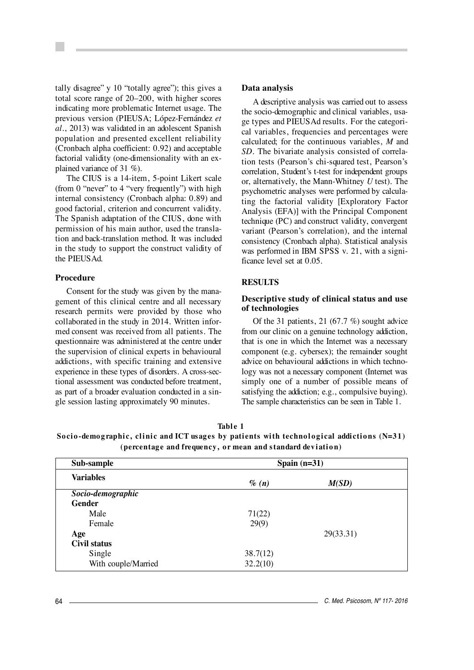tally disagree" y 10 "totally agree"); this gives a total score range of 20–200, with higher scores indicating more problematic Internet usage. The previous version (PIEUSA; López-Fernández *et al*., 2013) was validated in an adolescent Spanish population and presented excellent reliability (Cronbach alpha coefficient: 0.92) and acceptable factorial validity (one-dimensionality with an explained variance of 31 %).

The CIUS is a 14-item, 5-point Likert scale (from 0 "never" to 4 "very frequently") with high internal consistency (Cronbach alpha: 0.89) and good factorial, criterion and concurrent validity. The Spanish adaptation of the CIUS, done with permission of his main author, used the translation and back-translation method. It was included in the study to support the construct validity of the PIEUSAd.

#### **Procedure**

Consent for the study was given by the management of this clinical centre and all necessary research permits were provided by those who collaborated in the study in 2014. Written informed consent was received from all patients. The questionnaire was administered at the centre under the supervision of clinical experts in behavioural addictions, with specific training and extensive experience in these types of disorders. A cross-sectional assessment was conducted before treatment, as part of a broader evaluation conducted in a single session lasting approximately 90 minutes.

#### **Data analysis**

A descriptive analysis was carried out to assess the socio-demographic and clinical variables, usage types and PIEUSAd results. For the categorical variables, frequencies and percentages were calculated; for the continuous variables, *M* and *SD*. The bivariate analysis consisted of correlation tests (Pearson's chi-squared test, Pearson's correlation, Student's t-test for independent groups or, alternatively, the Mann-Whitney *U* test). The psychometric analyses were performed by calculating the factorial validity [Exploratory Factor Analysis (EFA)] with the Principal Component technique (PC) and construct validity, convergent variant (Pearson's correlation), and the internal consistency (Cronbach alpha). Statistical analysis was performed in IBM SPSS v. 21, with a significance level set at 0.05.

# **RESULTS**

## **Descriptive study of clinical status and use of technologies**

Of the 31 patients, 21  $(67.7\%)$  sought advice from our clinic on a genuine technology addiction, that is one in which the Internet was a necessary component (e.g. cybersex); the remainder sought advice on behavioural addictions in which technology was not a necessary component (Internet was simply one of a number of possible means of satisfying the addiction; e.g., compulsive buying). The sample characteristics can be seen in Table 1.

| Table 1                                                                                     |
|---------------------------------------------------------------------------------------------|
| Socio-demographic, clinic and ICT usages by patients with technological addictions $(N=31)$ |
| (percentage and frequency, or mean and standard deviation)                                  |

| Sub-sample          | Spain $(n=31)$ |           |  |
|---------------------|----------------|-----------|--|
| <b>Variables</b>    | $\%$ (n)       | M(SD)     |  |
| Socio-demographic   |                |           |  |
| <b>Gender</b>       |                |           |  |
| Male                | 71(22)         |           |  |
| Female              | 29(9)          |           |  |
| Age                 |                | 29(33.31) |  |
| Civil status        |                |           |  |
| Single              | 38.7(12)       |           |  |
| With couple/Married | 32.2(10)       |           |  |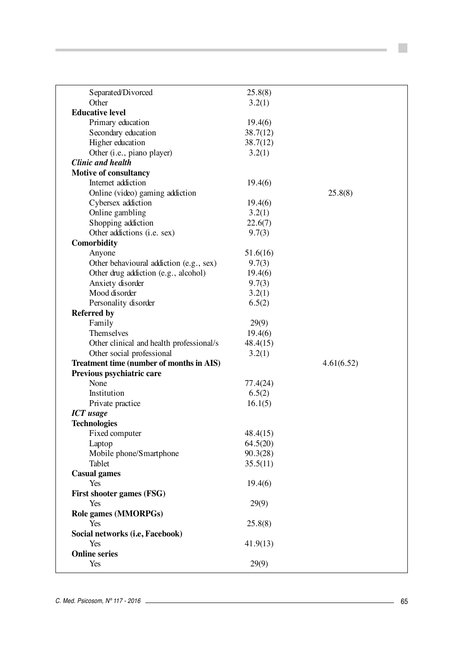| Separated/Divorced                       | 25.8(8)  |            |  |
|------------------------------------------|----------|------------|--|
| Other                                    | 3.2(1)   |            |  |
| <b>Educative level</b>                   |          |            |  |
| Primary education                        | 19.4(6)  |            |  |
| Secondary education                      | 38.7(12) |            |  |
| Higher education                         | 38.7(12) |            |  |
| Other (i.e., piano player)               | 3.2(1)   |            |  |
| <b>Clinic and health</b>                 |          |            |  |
| <b>Motive of consultancy</b>             |          |            |  |
| Internet addiction                       | 19.4(6)  |            |  |
| Online (video) gaming addiction          |          | 25.8(8)    |  |
| Cybersex addiction                       | 19.4(6)  |            |  |
| Online gambling                          | 3.2(1)   |            |  |
| Shopping addiction                       | 22.6(7)  |            |  |
| Other addictions (i.e. sex)              | 9.7(3)   |            |  |
| <b>Comorbidity</b>                       |          |            |  |
| Anyone                                   | 51.6(16) |            |  |
| Other behavioural addiction (e.g., sex)  | 9.7(3)   |            |  |
| Other drug addiction (e.g., alcohol)     | 19.4(6)  |            |  |
| Anxiety disorder                         | 9.7(3)   |            |  |
| Mood disorder                            | 3.2(1)   |            |  |
| Personality disorder                     | 6.5(2)   |            |  |
| <b>Referred by</b>                       |          |            |  |
| Family                                   | 29(9)    |            |  |
| Themselves                               | 19.4(6)  |            |  |
| Other clinical and health professional/s | 48.4(15) |            |  |
| Other social professional                | 3.2(1)   |            |  |
| Treatment time (number of months in AIS) |          | 4.61(6.52) |  |
| Previous psychiatric care                |          |            |  |
| None                                     | 77.4(24) |            |  |
|                                          |          |            |  |
| Institution                              | 6.5(2)   |            |  |
| Private practice                         | 16.1(5)  |            |  |
| <b>ICT</b> usage                         |          |            |  |
| <b>Technologies</b>                      |          |            |  |
| Fixed computer                           | 48.4(15) |            |  |
| Laptop                                   | 64.5(20) |            |  |
| Mobile phone/Smartphone                  | 90.3(28) |            |  |
| Tablet                                   | 35.5(11) |            |  |
| <b>Casual games</b>                      |          |            |  |
| Yes                                      | 19.4(6)  |            |  |
| <b>First shooter games (FSG)</b>         |          |            |  |
| Yes                                      | 29(9)    |            |  |
| Role games (MMORPGs)                     |          |            |  |
| Yes                                      | 25.8(8)  |            |  |
| Social networks (i.e, Facebook)          |          |            |  |
| Yes                                      | 41.9(13) |            |  |
| <b>Online series</b>                     |          |            |  |
| Yes                                      | 29(9)    |            |  |
|                                          |          |            |  |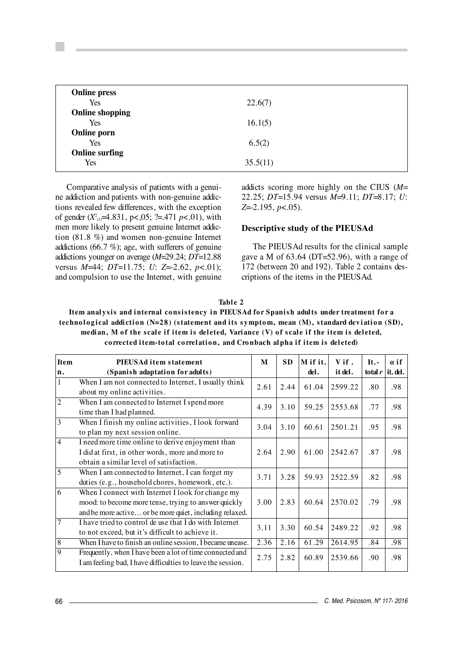| 22.6(7)  |  |
|----------|--|
|          |  |
| 16.1(5)  |  |
|          |  |
| 6.5(2)   |  |
|          |  |
| 35.5(11) |  |
|          |  |

Comparative analysis of patients with a genuine addiction and patients with non-genuine addictions revealed few differences, with the exception of gender (*X*<sup>2</sup> (1)=4.831, p<,05; ?=.471 *p*<.01), with men more likely to present genuine Internet addiction (81.8 %) and women non-genuine Internet addictions (66.7 %); age, with sufferers of genuine addictions younger on average (*M*=29.24; *DT*=12.88 versus *M*=44; *DT*=11.75; *U*: *Z*=-2.62, *p*<.01); and compulsion to use the Internet, with genuine addicts scoring more highly on the CIUS (*M*= 22.25; *DT*=15.94 versus *M*=9.11; *DT*=8.17; *U*: *Z*=-2.195, *p*<.05).

#### **Descriptive study of the PIEUSAd**

The PIEUSAd results for the clinical sample gave a M of 63.64 (DT=52.96), with a range of 172 (between 20 and 192). Table 2 contains descriptions of the items in the PIEUSAd.

#### Table 2

Item analysis and internal consistency in PIEUSAd for Spanish adults under treatment for a technological addiction (N=28) (statement and its symptom, mean (M), standard deviation (SD), median, M of the scale if item is deleted, Variance (V) of scale if the item is deleted, corrected item-total correlation, and Cronbach alpha if item is deleted)

| PIEUSAd item statement                                      | M                                            | <b>SD</b>                            | M if it.                     | Vif.           | $It. -$            | $\alpha$ if |
|-------------------------------------------------------------|----------------------------------------------|--------------------------------------|------------------------------|----------------|--------------------|-------------|
| (Spanish adaptation for adults)                             |                                              |                                      | del.                         | it del.        | total $r$ it. del. |             |
| When I am not connected to Internet, I usually think        |                                              |                                      |                              |                |                    | .98         |
| about my online activities.                                 |                                              |                                      |                              |                |                    |             |
|                                                             |                                              | 3.10                                 | 59.25                        | 2553.68        | .77                | .98         |
| time than I had planned.                                    |                                              |                                      |                              |                |                    |             |
| When I finish my online activities, I look forward          |                                              | 3.10                                 | 60.61                        | 2501.21        | .95                | .98         |
| to plan my next session online.                             |                                              |                                      |                              |                |                    |             |
| I need more time online to derive enjoyment than            |                                              |                                      | 61.00                        | 2542.67        | .87                | .98         |
| I did at first, in other words, more and more to            | 2.64                                         | 2.90                                 |                              |                |                    |             |
| obtain a similar level of satisfaction.                     |                                              |                                      |                              |                |                    |             |
| When I am connected to Internet, I can forget my            |                                              |                                      |                              |                |                    | .98         |
| duties (e.g., household chores, homework, etc.).            |                                              |                                      |                              |                |                    |             |
| When I connect with Internet I look for change my           | 3.00                                         | 2.83                                 | 60.64                        | 2570.02        | .79                |             |
| mood: to become more tense, trying to answer quickly        |                                              |                                      |                              |                |                    | .98         |
| and be more active or be more quiet, including relaxed.     |                                              |                                      |                              |                |                    |             |
| I have tried to control de use that I do with Internet      | 3.11                                         |                                      | 60.54                        | 2489.22        | .92                | .98         |
| to not exceed, but it's difficult to achieve it.            |                                              |                                      |                              |                |                    |             |
| When I have to finish an online session, I became unease.   | 2.36                                         | 2.16                                 | 61.29                        | 2614.95        | .84                | .98         |
| Frequently, when I have been a lot of time connected and    |                                              |                                      | 60.89                        | 2539.66        | .90                | .98         |
| I am feeling bad, I have difficulties to leave the session. |                                              |                                      |                              |                |                    |             |
|                                                             | When I am connected to Internet I spend more | 2.61<br>4.39<br>3.04<br>3.71<br>2.75 | 2.44<br>3.28<br>3.30<br>2.82 | 61.04<br>59.93 | 2599.22<br>2522.59 | .80<br>.82  |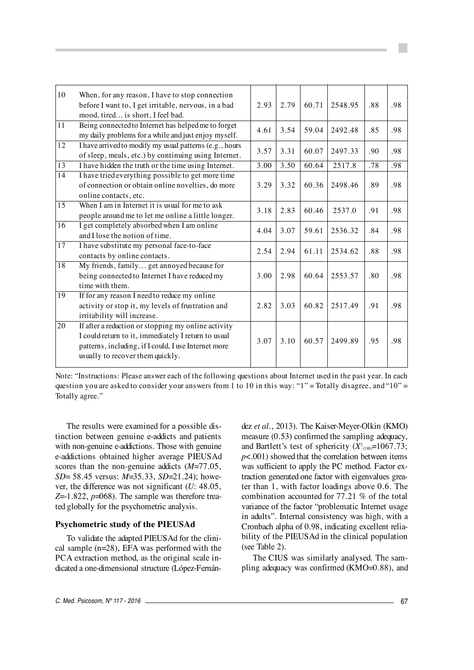| 10              | When, for any reason, I have to stop connection<br>before I want to, I get irritable, nervous, in a bad<br>mood, tired is short, I feel bad.                                                           | 2.93 | 2.79 | 60.71 | 2548.95 | .88 | .98 |
|-----------------|--------------------------------------------------------------------------------------------------------------------------------------------------------------------------------------------------------|------|------|-------|---------|-----|-----|
| $\overline{11}$ | Being connected to Internet has helped me to forget<br>my daily problems for a while and just enjoy myself.                                                                                            | 4.61 | 3.54 | 59.04 | 2492.48 | .85 | .98 |
| $\overline{12}$ | I have arrived to modify my usual patterns (e.g., hours<br>of sleep, meals, etc.) by continuing using Internet.                                                                                        | 3.57 | 3.31 | 60.07 | 2497.33 | .90 | .98 |
| $\overline{13}$ | I have hidden the truth or the time using Internet.                                                                                                                                                    | 3.00 | 3.50 | 60.64 | 2517.8  | .78 | .98 |
| $\overline{14}$ | I have tried everything possible to get more time<br>of connection or obtain online novelties, do more<br>online contacts, etc.                                                                        | 3.29 | 3.32 | 60.36 | 2498.46 | .89 | .98 |
| 15              | When I am in Internet it is usual for me to ask<br>people around me to let me online a little longer.                                                                                                  | 3.18 | 2.83 | 60.46 | 2537.0  | .91 | .98 |
| $\overline{16}$ | I get completely absorbed when I am online<br>and I lose the notion of time.                                                                                                                           | 4.04 | 3.07 | 59.61 | 2536.32 | .84 | .98 |
| $\overline{17}$ | I have substitute my personal face-to-face<br>contacts by online contacts.                                                                                                                             | 2.54 | 2.94 | 61.11 | 2534.62 | .88 | .98 |
| $\overline{18}$ | My friends, family get annoyed because for<br>being connected to Internet I have reduced my<br>time with them.                                                                                         | 3.00 | 2.98 | 60.64 | 2553.57 | .80 | .98 |
| $\overline{19}$ | If for any reason I need to reduce my online<br>activity or stop it, my levels of frustration and<br>irritability will increase.                                                                       | 2.82 | 3.03 | 60.82 | 2517.49 | .91 | .98 |
| $\overline{20}$ | If after a reduction or stopping my online activity<br>I could return to it, immediately I return to usual<br>patterns, including, if I could, I use Internet more<br>usually to recover them quickly. | 3.07 | 3.10 | 60.57 | 2499.89 | .95 | .98 |

Note: "Instructions: Please answer each of the following questions about Internet used in the past year. In each question you are asked to consider your answers from 1 to 10 in this way: " $1"$  = Totally disagree, and " $10"$  = Totally agree."

The results were examined for a possible distinction between genuine e-addicts and patients with non-genuine e-addictions. Those with genuine e-addictions obtained higher average PIEUSAd scores than the non-genuine addicts (*M*=77.05, *SD*= 58.45 versus: *M*=35.33, *SD*=21.24); however, the difference was not significant (*U*: 48.05,  $Z=1.822$ ,  $p=068$ ). The sample was therefore treated globally for the psychometric analysis.

## **Psychometric study of the PIEUSAd**

To validate the adapted PIEUSAd for the clinical sample (n=28), EFA was performed with the PCA extraction method, as the original scale indicated a one-dimensional structure (López-Fernán-

dez *et al*., 2013). The Kaiser-Meyer-Olkin (KMO) measure (0.53) confirmed the sampling adequacy, and Bartlett's test of sphericity  $(X_{(190)}^2=1067.73;$  $p$ <.001) showed that the correlation between items was sufficient to apply the PC method. Factor extraction generated one factor with eigenvalues greater than 1, with factor loadings above 0.6. The combination accounted for 77.21 % of the total variance of the factor "problematic Internet usage in adults". Internal consistency was high, with a Cronbach alpha of 0.98, indicating excellent reliability of the PIEUSAd in the clinical population (see Table 2).

The CIUS was similarly analysed. The sampling adequacy was confirmed (KMO=0.88), and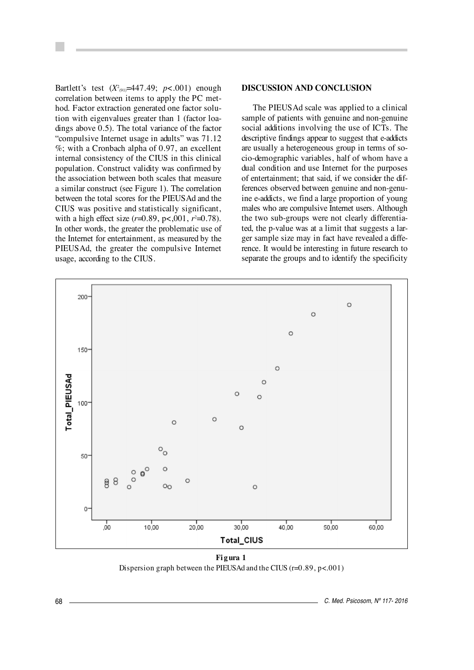Bartlett's test (*X*<sup>2</sup><sub>(91)</sub>=447.49; *p*<.001) enough correlation between items to apply the PC method. Factor extraction generated one factor solution with eigenvalues greater than 1 (factor loadings above 0.5). The total variance of the factor "compulsive Internet usage in adults" was 71.12 %; with a Cronbach alpha of 0.97, an excellent internal consistency of the CIUS in this clinical population. Construct validity was confirmed by the association between both scales that measure a similar construct (see Figure 1). The correlation between the total scores for the PIEUSAd and the CIUS was positive and statistically significant, with a high effect size (*r*=0.89, p<,001, *r*<sup>2</sup>=0.78). In other words, the greater the problematic use of the Internet for entertainment, as measured by the PIEUSAd, the greater the compulsive Internet usage, according to the CIUS.

## **DISCUSSION AND CONCLUSION**

The PIEUSAd scale was applied to a clinical sample of patients with genuine and non-genuine social additions involving the use of ICTs. The descriptive findings appear to suggest that e-addicts are usually a heterogeneous group in terms of socio-demographic variables, half of whom have a dual condition and use Internet for the purposes of entertainment; that said, if we consider the differences observed between genuine and non-genu ine e-addicts, we find a large proportion of young males who are compulsive Internet users. Although the two sub-groups were not clearly differentiated, the p-value was at a limit that suggests a larger sample size may in fact have revealed a difference. It would be interesting in future research to separate the groups and to identify the specificity



**Fi g ura 1** Dispersion graph between the PIEUSAd and the CIUS (r=0.89, p<.001)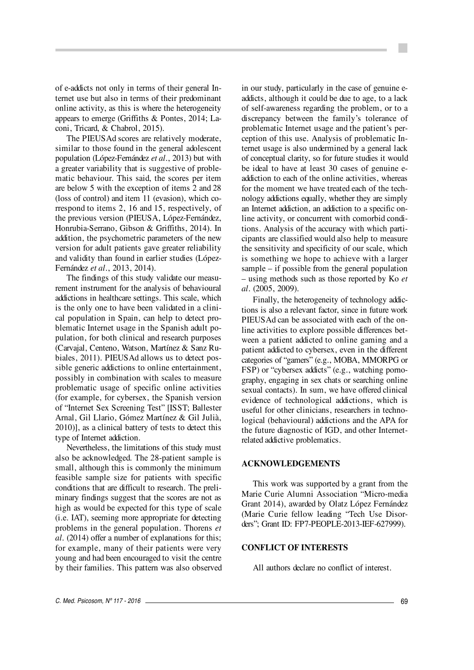of e-addicts not only in terms of their general In ternet use but also in terms of their predominant online activity, as this is where the heterogeneity appears to emerge (Griffiths & Pontes, 2014; Laconi, Tricard, & Chabrol, 2015).

The PIEUSAd scores are relatively moderate, similar to those found in the general adolescent population (López-Fernández *et al*., 2013) but with a greater variability that is suggestive of problematic behaviour. This said, the scores per item are below 5 with the exception of items 2 and 28 (loss of control) and item 11 (evasion), which correspond to items 2, 16 and 15, respectively, of the previous version (PIEUSA, López-Fernández, Honrubia-Serrano, Gibson & Griffiths, 2014). In addition, the psychometric parameters of the new version for adult patients gave greater reliability and validity than found in earlier studies (López-Fernández *et al*., 2013, 2014).

The findings of this study validate our measurement instrument for the analysis of behavioural addictions in healthcare settings. This scale, which is the only one to have been validated in a clinical population in Spain, can help to detect problematic Internet usage in the Spanish adult population, for both clinical and research purposes (Carvajal, Centeno, Watson, Martínez & Sanz Rubiales, 2011). PIEUSAd allows us to detect possible generic addictions to online entertainment, possibly in combination with scales to measure problematic usage of specific online activities (for example, for cybersex, the Spanish version of "Internet Sex Screening Test" [ISST; Ballester Arnal, Gil Llario, Gómez Martínez & Gil Julià, 2010)], as a clinical battery of tests to detect this type of Internet addiction.

Nevertheless, the limitations of this study must also be acknowledged. The 28-patient sample is small, although this is commonly the minimum feasible sample size for patients with specific conditions that are difficult to research. The preliminary findings suggest that the scores are not as high as would be expected for this type of scale (i.e. IAT), seeming more appropriate for detecting problems in the general population. Thorens *et al*. (2014) offer a number of explanations for this; for example, many of their patients were very young and had been encouraged to visit the centre by their families. This pattern was also observed

in our study, particularly in the case of genuine eaddicts, although it could be due to age, to a lack of self-awareness regarding the problem, or to a discrepancy between the family's tolerance of problematic Internet usage and the patient's perception of this use. Analysis of problematic In ternet usage is also undermined by a general lack of conceptual clarity, so for future studies it would be ideal to have at least 30 cases of genuine eaddiction to each of the online activities, whereas for the moment we have treated each of the technology addictions equally, whether they are simply an Internet addiction, an addiction to a specific online activity, or concurrent with comorbid conditions. Analysis of the accuracy with which participants are classified would also help to measure the sensitivity and specificity of our scale, which is something we hope to achieve with a larger sample – if possible from the general population – using methods such as those reported by Ko *et al*. (2005, 2009).

Finally, the heterogeneity of technology addictions is also a relevant factor, since in future work PIEUS Ad can be associated with each of the online activities to explore possible differences between a patient addicted to online gaming and a patient addicted to cybersex, even in the different categories of "gamers" (e.g., MOBA, MMORPG or FSP) or "cybersex addicts" (e.g., watching pornography, engaging in sex chats or searching online sexual contacts). In sum, we have offered clinical evidence of technological addictions, which is useful for other clinicians, researchers in technological (behavioural) addictions and the APA for the future diagnostic of IGD, and other Internetrelated addictive problematics.

## **ACKNOWLEDGEMENTS**

This work was supported by a grant from the Marie Curie Alumni Association "Micro-media Grant 2014), awarded by Olatz López Fernández (Marie Curie fellow leading "Tech Use Disorders"; Grant ID: FP7-PEOPLE-2013-IEF-627999).

#### **CONFLICT OF INTERESTS**

All authors declare no conflict of interest.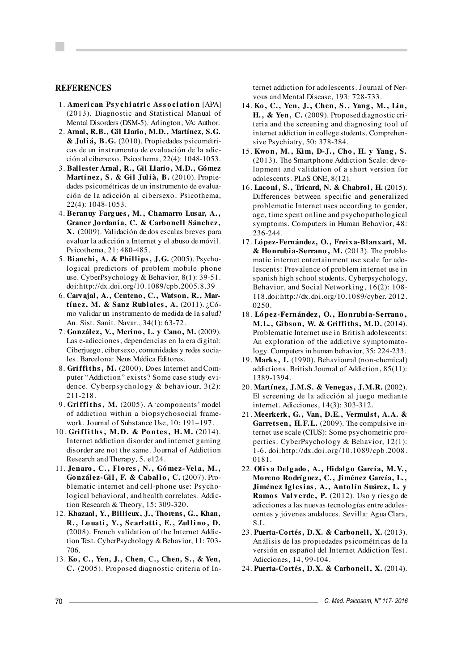#### **REFERENCES**

- 1. **Ameri can Ps y chi atri c As s o ci ati o n** [APA] (2013). Diagnostic and Statistical Manual of Mental Disorders (DSM-5). Arlington, VA: Author.
- 2. **Arnal, R.B., Gil Llario, M.D., Martínez, S.G. & Jul i á, B. G.** (2010). Propiedades psicométricas de un instrumento de evaluación de la adicción al cibersexo. Psicothema, 22(4): 1048-1053.
- 3. **Ballester Arnal, R., Gil Llario, M.D., Gómez** Martínez, S. & Gil Julià, B. (2010). Propiedades psicométricas de un instrumento de evaluación de la adicción al cibersexo. Psicothema, 22(4): 1048-1053.
- 4. **Beranuy Farg ues , M. , Chamarro Lus ar, A. , Graner Jo rdani a, C. & Carbo nel l Sánchez, X.** (2009). Validación de dos escalas breves para evaluar la adicción a Internet y el abuso de móvil. Psicothema, 21: 480-485.
- 5. **Bianchi, A. & Phillips, J. G.** (2005). Psychological predictors of problem mobile phone use. CyberPsychology & Behavior, 8(1): 39-51. doi:http://dx.doi.org/10.1089/cpb.2005.8.39
- 6. **Carvajal, A., Centeno, C., Watson, R., Martínez, M. & Sanz Rubiales, A.** (2011). ¿Cómo validar un instrumento de medida de la salud? An. Sist. Sanit. Navar., 34(1): 63-72.
- 7. **González, V. , Merino, L. y Cano, M.** (2009). Las e-adicciones, dependencias en la era digital: Ciberjuego, cibersexo, comunidades y redes socia les. Barcelona: Neus Médica Editores.
- 8. Griffiths, M. (2000). Does Internet and Computer "Addiction" exists? Some case study evidence. Cyberpsychology & behaviour, 3(2): 211-218.
- 9. **Gri ffi ths , M.** (2005). A 'components' model of addiction within a biopsychosocial framework. Journal of Substance Use, 10: 191–197.
- 10. **Gri ffi ths , M. D. & Po ntes , H. M.** (2014). Internet addiction disorder and internet gaming disorder are not the same. Journal of Addiction Research and Therapy, 5. e124.
- 11. **Jenaro , C. , Fl o res , N. , Gó mez-Vel a, M. , González-Gil, F. & Caballo, C.** (2007). Problematic internet and cell-phone use: Psycho logical behavioral, and health correlates. Addiction Research & Theory, 15: 309-320.
- 12. **Khazaal, Y., Billieux, J., Thorens, G., Khan,** R., Louati, Y., Scarlatti, E., Zullino, D. (2008). French validation of the Internet Addic tion Test. CyberPsychology & Behavior, 11: 703- 706.
- 13. **Ko, C. , Yen, J. , Chen, C. , Chen, S. , & Yen, C.** (2005). Proposed diagnostic criteria of In -

ternet addiction for adolescents. Journal of Ner vous and Mental Disease, 193: 728-733.

- 14. **Ko , C. , Yen, J. , Chen, S. , Yang , M. , Li n, H. , & Yen, C.** (2009). Proposed diagnostic criteria and the screening and diagnosing tool of internet addiction in college students. Comprehen sive Psychiatry, 50: 378-384.
- 15. **Kwo n, M. , Ki m, D-J. , Cho , H. y Yang , S.** (2013). The Smartphone Addiction Scale: development and validation of a short version for adolescents. PLoS ONE, 8(12).
- 16. **Laconi, S. , Tricard, N. & Chabrol, H.** (2015). Differences between specific and generalized problematic Internet uses according to gender, age, time spent online and psychopathological symptoms. Computers in Human Behavior, 48: 236-244.
- 17. **López-Fernández, O. , Freixa-Blanxart, M. & Ho nrubi a-Serrano , M.** (2013). The proble matic internet entertainment use scale for adolescents: Prevalence of problem internet use in spanish high school students. Cyberpsychology, Behavior, and Social Networking, 16(2): 108- 118.doi:http://dx.doi.org/10.1089/cyber. 2012. 0250.
- 18. **Ló pez-Fernández, O. , Ho nrubi a-Serrano , M. L. , Gibson, W. & Griffiths, M. D.** (2014). Problematic Internet use in British adolescents: An exploration of the addictive symptomatology. Computers in human behavior, 35: 224-233.
- 19. **Marks , I.** (1990). Behavioural (non-chemical) addictions. British Journal of Addiction, 85(11): 1389-1394.
- 20. **Martínez, J. M. S. & Venegas, J. M. R.** (2002). El screening de la adicción al juego mediante internet. Adicciones, 14(3): 303-312.
- 21. **Meerkerk, G. , Van, D. E. , Vermulst, A. A. &** Garrets en, H.F.L. (2009). The compulsive internet use scale (CIUS): Some psychometric properties. CyberPsychology & Behavior, 12(1): 1-6. doi:http://dx.doi.org/10.1089/cpb.2008. 0181.
- 22. **Ol i v a Del g ado , A. , Hi dal g o Garcí a, M. V. , Moreno Rodríguez, C. , Jiménez García, L. ,** Jiménez Iglesias, A., Antolín Suárez, L. y **Ramo s Val v erde, P.** (2012). Uso y riesgo de adicciones a las nuevas tecnologías entre adolescentes y jóvenes andaluces. Sevilla: Agua Clara, S.L.
- 23. **Puerta-Cortés, D. X. & Carbonell, X.** (2013). Análisis de las propiedades psicométricas de la versión en español del Internet Addiction Test. Adicciones, 14, 99-104.
- 24. **Puerta-Cortés, D. X. & Carbonell, X.** (2014).